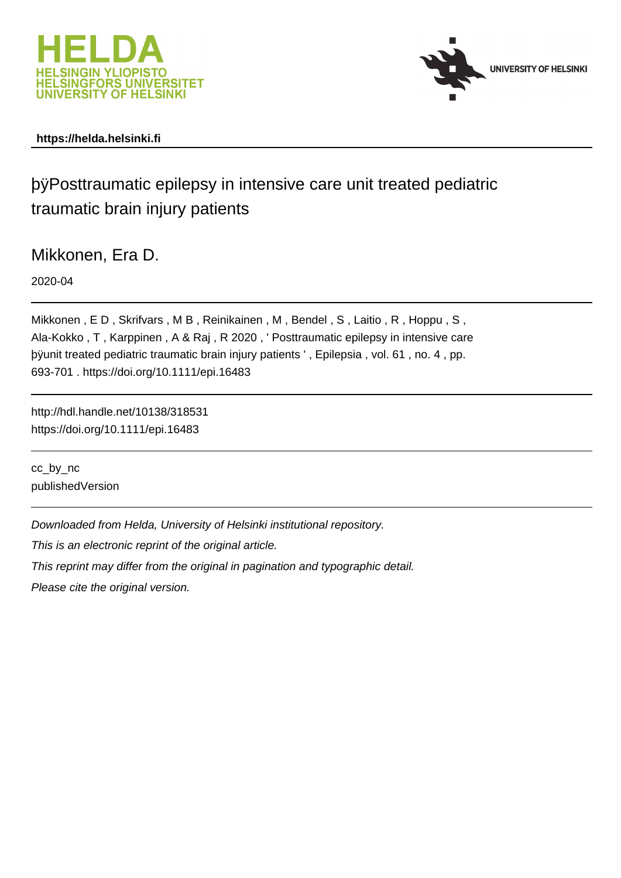



# **https://helda.helsinki.fi**

# þÿPosttraumatic epilepsy in intensive care unit tre traumatic brain injury patients

Mikkonen, Era D.

2020-04

Mikkonen , E D , Skrifvars , M B , Reinikainen , M , Bendel , S , Laitio , R , Hoppu , S , Ala-Kokko , T , Karppinen , A & Raj , R 2020 , ' Posttraumatic epilepsy in intensive care þÿunit treated pediatric traumatic brain injury patients ', Epilepsia, vo. 693-701 . https://doi.org/10.1111/epi.16483

http://hdl.handle.net/10138/318531 https://doi.org/10.1111/epi.16483

cc\_by\_nc publishedVersion

Downloaded from Helda, University of Helsinki institutional repository.

This is an electronic reprint of the original article.

This reprint may differ from the original in pagination and typographic detail.

Please cite the original version.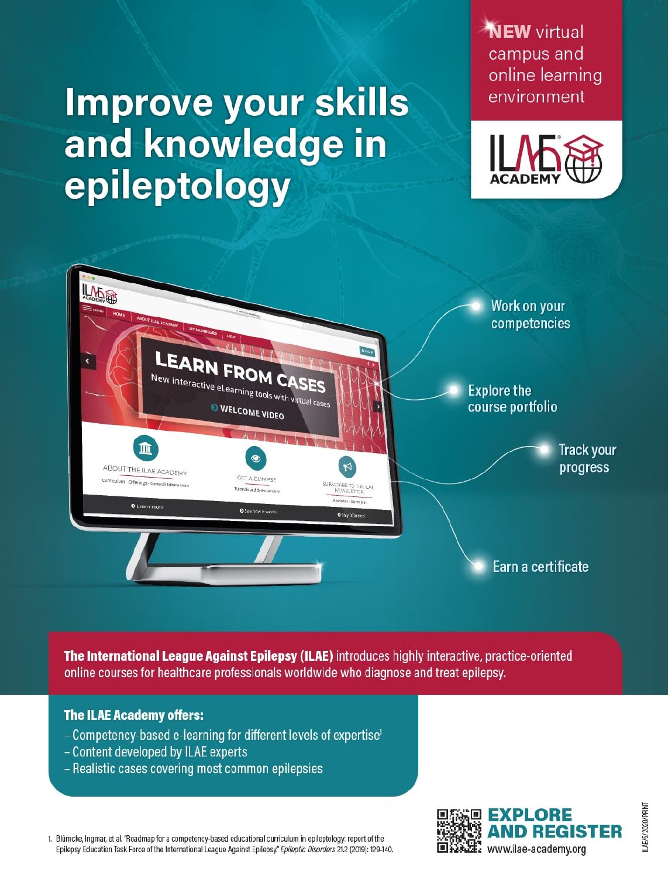# **Improve your skills** and knowledge in epileptology

**NEW** virtual campus and online learning environment





The International League Against Epilepsy (ILAE) introduces highly interactive, practice-oriented online courses for healthcare professionals worldwide who diagnose and treat epilepsy.

# **The ILAE Academy offers:**

- Competency-based e-learning for different levels of expertise<sup>1</sup>
- Content developed by ILAE experts
- Realistic cases covering most common epilepsies

1. Blümcke, Ingmar, et al. "Roadmap for a competency-based educational curriculum in epileptology: report of the Epilepsy Education Task Force of the International League Against Epilepsy." Epileptic Disorders 21.2 (2019): 129-140.

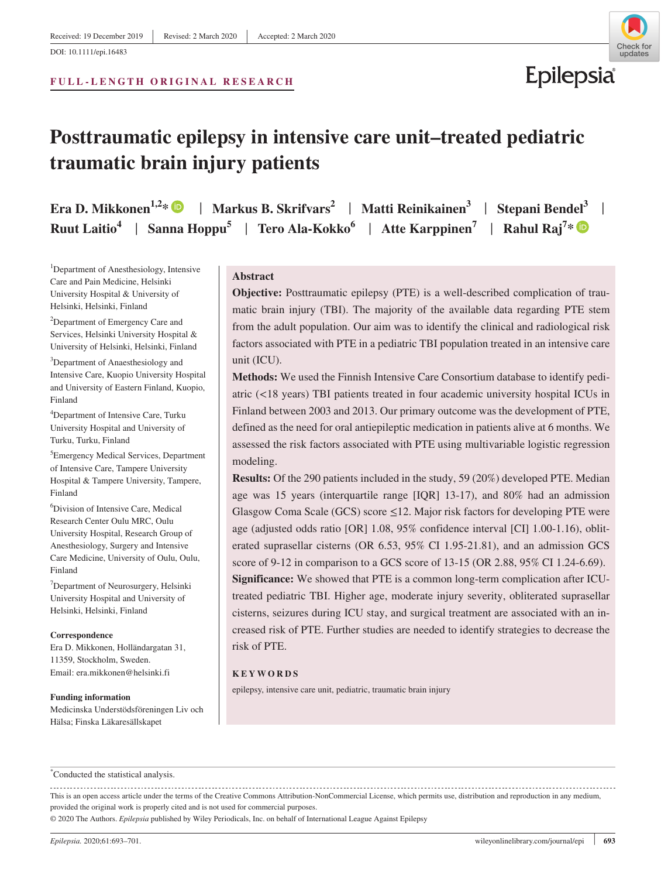#### **FULL-LENGTH ORIGINAL RESEARCH**



Epilepsia

# **Posttraumatic epilepsy in intensive care unit–treated pediatric traumatic brain injury patients**

**Era D. Mikkonen<sup>1,2</sup>\***  $\bullet$  **| Markus B. Skrifvars<sup>2</sup> | Matti Reinikainen<sup>3</sup> | Stepani Bendel<sup>3</sup> | Ruut Laitio<sup>4</sup>** | **Sanna Hoppu<sup>5</sup>** | **Tero Ala-Kokko6** | **Atte Karppinen7** | **Rahul Raj7 \***

<sup>1</sup>Department of Anesthesiology, Intensive Care and Pain Medicine, Helsinki University Hospital & University of Helsinki, Helsinki, Finland

<sup>2</sup>Department of Emergency Care and Services, Helsinki University Hospital & University of Helsinki, Helsinki, Finland

<sup>3</sup>Department of Anaesthesiology and Intensive Care, Kuopio University Hospital and University of Eastern Finland, Kuopio, Finland

4 Department of Intensive Care, Turku University Hospital and University of Turku, Turku, Finland

5 Emergency Medical Services, Department of Intensive Care, Tampere University Hospital & Tampere University, Tampere, Finland

6 Division of Intensive Care, Medical Research Center Oulu MRC, Oulu University Hospital, Research Group of Anesthesiology, Surgery and Intensive Care Medicine, University of Oulu, Oulu, Finland

7 Department of Neurosurgery, Helsinki University Hospital and University of Helsinki, Helsinki, Finland

#### **Correspondence**

Era D. Mikkonen, Holländargatan 31, 11359, Stockholm, Sweden. Email: [era.mikkonen@helsinki.fi](mailto:era.mikkonen@helsinki.fi)

#### **Funding information**

Medicinska Understödsföreningen Liv och Hälsa; Finska Läkaresällskapet

#### **Abstract**

**Objective:** Posttraumatic epilepsy (PTE) is a well-described complication of traumatic brain injury (TBI). The majority of the available data regarding PTE stem from the adult population. Our aim was to identify the clinical and radiological risk factors associated with PTE in a pediatric TBI population treated in an intensive care unit (ICU).

**Methods:** We used the Finnish Intensive Care Consortium database to identify pediatric (<18 years) TBI patients treated in four academic university hospital ICUs in Finland between 2003 and 2013. Our primary outcome was the development of PTE, defined as the need for oral antiepileptic medication in patients alive at 6 months. We assessed the risk factors associated with PTE using multivariable logistic regression modeling.

**Results:** Of the 290 patients included in the study, 59 (20%) developed PTE. Median age was 15 years (interquartile range [IQR] 13-17), and 80% had an admission Glasgow Coma Scale (GCS) score  $\leq$ 12. Major risk factors for developing PTE were age (adjusted odds ratio [OR] 1.08, 95% confidence interval [CI] 1.00-1.16), obliterated suprasellar cisterns (OR 6.53, 95% CI 1.95-21.81), and an admission GCS score of 9-12 in comparison to a GCS score of 13-15 (OR 2.88, 95% CI 1.24-6.69). **Significance:** We showed that PTE is a common long-term complication after ICUtreated pediatric TBI. Higher age, moderate injury severity, obliterated suprasellar cisterns, seizures during ICU stay, and surgical treatment are associated with an increased risk of PTE. Further studies are needed to identify strategies to decrease the

#### **KEYWORDS**

risk of PTE.

epilepsy, intensive care unit, pediatric, traumatic brain injury

\* Conducted the statistical analysis.

This is an open access article under the terms of the [Creative Commons Attribution-NonCommercial](http://creativecommons.org/licenses/by-nc/4.0/) License, which permits use, distribution and reproduction in any medium, provided the original work is properly cited and is not used for commercial purposes.

© 2020 The Authors. *Epilepsia* published by Wiley Periodicals, Inc. on behalf of International League Against Epilepsy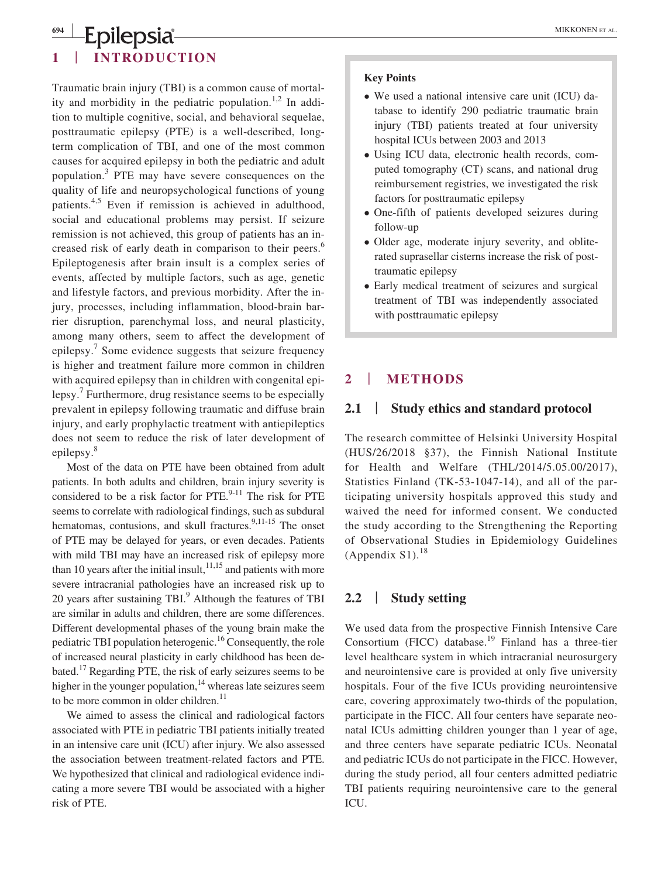## **<sup>694</sup> <sup>|</sup> Epilepsia** MIKKONEN ET AL. **1** | **INTRODUCTION**

Traumatic brain injury (TBI) is a common cause of mortality and morbidity in the pediatric population.<sup>1,2</sup> In addition to multiple cognitive, social, and behavioral sequelae, posttraumatic epilepsy (PTE) is a well-described, longterm complication of TBI, and one of the most common causes for acquired epilepsy in both the pediatric and adult population.<sup>3</sup> PTE may have severe consequences on the quality of life and neuropsychological functions of young patients.4,5 Even if remission is achieved in adulthood, social and educational problems may persist. If seizure remission is not achieved, this group of patients has an increased risk of early death in comparison to their peers.<sup>6</sup> Epileptogenesis after brain insult is a complex series of events, affected by multiple factors, such as age, genetic and lifestyle factors, and previous morbidity. After the injury, processes, including inflammation, blood-brain barrier disruption, parenchymal loss, and neural plasticity, among many others, seem to affect the development of epilepsy.<sup>7</sup> Some evidence suggests that seizure frequency is higher and treatment failure more common in children with acquired epilepsy than in children with congenital epilepsy.<sup>7</sup> Furthermore, drug resistance seems to be especially prevalent in epilepsy following traumatic and diffuse brain injury, and early prophylactic treatment with antiepileptics does not seem to reduce the risk of later development of epilepsy.<sup>8</sup>

Most of the data on PTE have been obtained from adult patients. In both adults and children, brain injury severity is considered to be a risk factor for PTE. $9-11$  The risk for PTE seems to correlate with radiological findings, such as subdural hematomas, contusions, and skull fractures. $9,11-15$  The onset of PTE may be delayed for years, or even decades. Patients with mild TBI may have an increased risk of epilepsy more than 10 years after the initial insult,  $11,15$  and patients with more severe intracranial pathologies have an increased risk up to 20 years after sustaining TBI.<sup>9</sup> Although the features of TBI are similar in adults and children, there are some differences. Different developmental phases of the young brain make the pediatric TBI population heterogenic.16 Consequently, the role of increased neural plasticity in early childhood has been debated.17 Regarding PTE, the risk of early seizures seems to be higher in the younger population, $14$  whereas late seizures seem to be more common in older children.<sup>11</sup>

We aimed to assess the clinical and radiological factors associated with PTE in pediatric TBI patients initially treated in an intensive care unit (ICU) after injury. We also assessed the association between treatment-related factors and PTE. We hypothesized that clinical and radiological evidence indicating a more severe TBI would be associated with a higher risk of PTE.

#### **Key Points**

- We used a national intensive care unit (ICU) database to identify 290 pediatric traumatic brain injury (TBI) patients treated at four university hospital ICUs between 2003 and 2013
- Using ICU data, electronic health records, computed tomography (CT) scans, and national drug reimbursement registries, we investigated the risk factors for posttraumatic epilepsy
- One-fifth of patients developed seizures during follow-up
- Older age, moderate injury severity, and obliterated suprasellar cisterns increase the risk of posttraumatic epilepsy
- Early medical treatment of seizures and surgical treatment of TBI was independently associated with posttraumatic epilepsy

# **2** | **METHODS**

## **2.1** | **Study ethics and standard protocol**

The research committee of Helsinki University Hospital (HUS/26/2018 §37), the Finnish National Institute for Health and Welfare (THL/2014/5.05.00/2017), Statistics Finland (TK-53-1047-14), and all of the participating university hospitals approved this study and waived the need for informed consent. We conducted the study according to the Strengthening the Reporting of Observational Studies in Epidemiology Guidelines (Appendix  $S1$ ).<sup>18</sup>

# **2.2** | **Study setting**

We used data from the prospective Finnish Intensive Care Consortium (FICC) database.<sup>19</sup> Finland has a three-tier level healthcare system in which intracranial neurosurgery and neurointensive care is provided at only five university hospitals. Four of the five ICUs providing neurointensive care, covering approximately two-thirds of the population, participate in the FICC. All four centers have separate neonatal ICUs admitting children younger than 1 year of age, and three centers have separate pediatric ICUs. Neonatal and pediatric ICUs do not participate in the FICC. However, during the study period, all four centers admitted pediatric TBI patients requiring neurointensive care to the general ICU.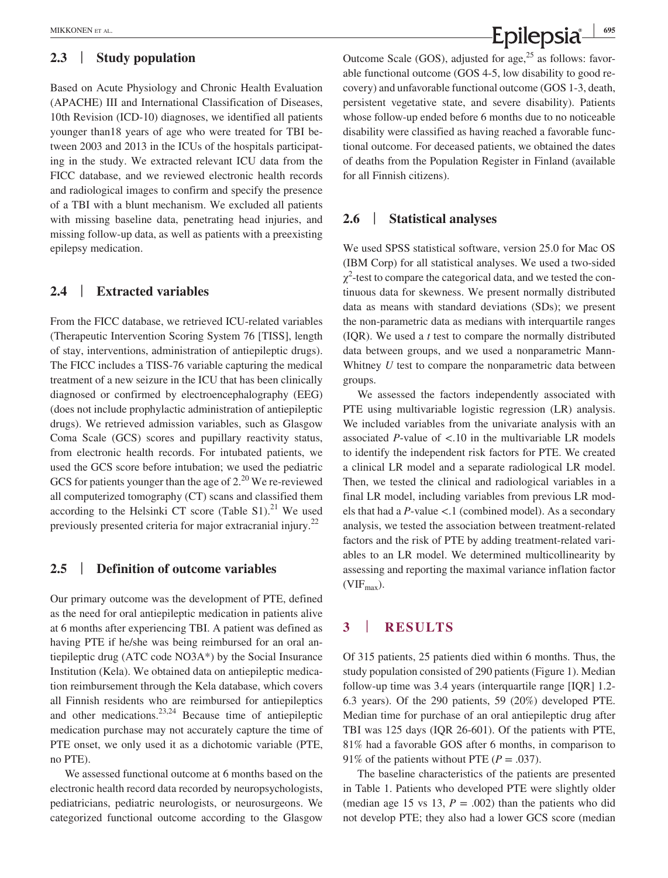#### **2.3** | **Study population**

Based on Acute Physiology and Chronic Health Evaluation (APACHE) III and International Classification of Diseases, 10th Revision (ICD-10) diagnoses, we identified all patients younger than18 years of age who were treated for TBI between 2003 and 2013 in the ICUs of the hospitals participating in the study. We extracted relevant ICU data from the FICC database, and we reviewed electronic health records and radiological images to confirm and specify the presence of a TBI with a blunt mechanism. We excluded all patients with missing baseline data, penetrating head injuries, and missing follow-up data, as well as patients with a preexisting epilepsy medication.

## **2.4** | **Extracted variables**

From the FICC database, we retrieved ICU-related variables (Therapeutic Intervention Scoring System 76 [TISS], length of stay, interventions, administration of antiepileptic drugs). The FICC includes a TISS-76 variable capturing the medical treatment of a new seizure in the ICU that has been clinically diagnosed or confirmed by electroencephalography (EEG) (does not include prophylactic administration of antiepileptic drugs). We retrieved admission variables, such as Glasgow Coma Scale (GCS) scores and pupillary reactivity status, from electronic health records. For intubated patients, we used the GCS score before intubation; we used the pediatric GCS for patients younger than the age of  $2^{20}$  We re-reviewed all computerized tomography (CT) scans and classified them according to the Helsinki CT score (Table  $S1$ ).<sup>21</sup> We used previously presented criteria for major extracranial injury.22

#### **2.5** | **Definition of outcome variables**

Our primary outcome was the development of PTE, defined as the need for oral antiepileptic medication in patients alive at 6 months after experiencing TBI. A patient was defined as having PTE if he/she was being reimbursed for an oral antiepileptic drug (ATC code NO3A\*) by the Social Insurance Institution (Kela). We obtained data on antiepileptic medication reimbursement through the Kela database, which covers all Finnish residents who are reimbursed for antiepileptics and other medications. $2^{3,24}$  Because time of antiepileptic medication purchase may not accurately capture the time of PTE onset, we only used it as a dichotomic variable (PTE, no PTE).

We assessed functional outcome at 6 months based on the electronic health record data recorded by neuropsychologists, pediatricians, pediatric neurologists, or neurosurgeons. We categorized functional outcome according to the Glasgow

MIKKONEN ET AL. *CONCERNET AL.* **CONCERNET AL. CONCERNET AL. CONCERNET AL. CONCERNET AL. CONCERNET AL. 695** 

Outcome Scale (GOS), adjusted for age,  $^{25}$  as follows: favorable functional outcome (GOS 4-5, low disability to good recovery) and unfavorable functional outcome (GOS 1-3, death, persistent vegetative state, and severe disability). Patients whose follow-up ended before 6 months due to no noticeable disability were classified as having reached a favorable functional outcome. For deceased patients, we obtained the dates of deaths from the Population Register in Finland (available for all Finnish citizens).

#### **2.6** | **Statistical analyses**

We used SPSS statistical software, version 25.0 for Mac OS (IBM Corp) for all statistical analyses. We used a two-sided  $\chi^2$ -test to compare the categorical data, and we tested the continuous data for skewness. We present normally distributed data as means with standard deviations (SDs); we present the non-parametric data as medians with interquartile ranges (IQR). We used a *t* test to compare the normally distributed data between groups, and we used a nonparametric Mann-Whitney *U* test to compare the nonparametric data between groups.

We assessed the factors independently associated with PTE using multivariable logistic regression (LR) analysis. We included variables from the univariate analysis with an associated *P*-value of <.10 in the multivariable LR models to identify the independent risk factors for PTE. We created a clinical LR model and a separate radiological LR model. Then, we tested the clinical and radiological variables in a final LR model, including variables from previous LR models that had a *P*-value <.1 (combined model). As a secondary analysis, we tested the association between treatment-related factors and the risk of PTE by adding treatment-related variables to an LR model. We determined multicollinearity by assessing and reporting the maximal variance inflation factor  $(VIF<sub>max</sub>)$ .

# **3** | **RESULTS**

Of 315 patients, 25 patients died within 6 months. Thus, the study population consisted of 290 patients (Figure 1). Median follow-up time was 3.4 years (interquartile range [IQR] 1.2- 6.3 years). Of the 290 patients, 59 (20%) developed PTE. Median time for purchase of an oral antiepileptic drug after TBI was 125 days (IQR 26-601). Of the patients with PTE, 81% had a favorable GOS after 6 months, in comparison to 91% of the patients without PTE  $(P = .037)$ .

The baseline characteristics of the patients are presented in Table 1. Patients who developed PTE were slightly older (median age 15 vs 13,  $P = .002$ ) than the patients who did not develop PTE; they also had a lower GCS score (median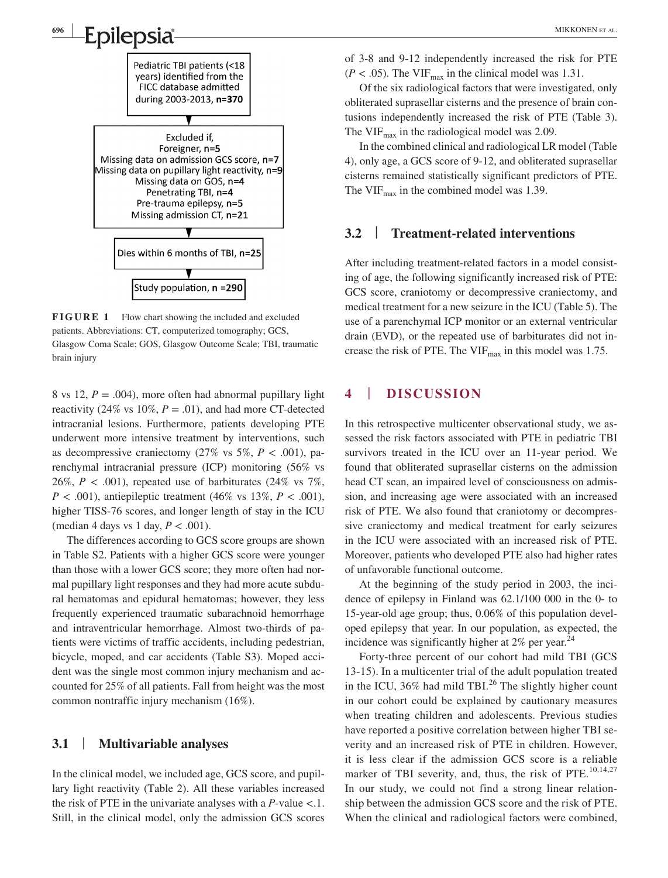

**<sup>696</sup> <sup>|</sup>**

**FIGURE 1** Flow chart showing the included and excluded patients. Abbreviations: CT, computerized tomography; GCS, Glasgow Coma Scale; GOS, Glasgow Outcome Scale; TBI, traumatic brain injury

8 vs 12,  $P = .004$ ), more often had abnormal pupillary light reactivity (24% vs  $10\%, P = .01$ ), and had more CT-detected intracranial lesions. Furthermore, patients developing PTE underwent more intensive treatment by interventions, such as decompressive craniectomy  $(27\% \text{ vs } 5\%, P < .001)$ , parenchymal intracranial pressure (ICP) monitoring (56% vs 26%,  $P < .001$ ), repeated use of barbiturates (24% vs 7%, *P* < .001), antiepileptic treatment (46% vs 13%, *P* < .001), higher TISS-76 scores, and longer length of stay in the ICU (median 4 days vs 1 day,  $P < .001$ ).

The differences according to GCS score groups are shown in Table S2. Patients with a higher GCS score were younger than those with a lower GCS score; they more often had normal pupillary light responses and they had more acute subdural hematomas and epidural hematomas; however, they less frequently experienced traumatic subarachnoid hemorrhage and intraventricular hemorrhage. Almost two-thirds of patients were victims of traffic accidents, including pedestrian, bicycle, moped, and car accidents (Table S3). Moped accident was the single most common injury mechanism and accounted for 25% of all patients. Fall from height was the most common nontraffic injury mechanism (16%).

# **3.1** | **Multivariable analyses**

In the clinical model, we included age, GCS score, and pupillary light reactivity (Table 2). All these variables increased the risk of PTE in the univariate analyses with a *P*-value <.1. Still, in the clinical model, only the admission GCS scores of 3-8 and 9-12 independently increased the risk for PTE  $(P < .05)$ . The VIF<sub>max</sub> in the clinical model was 1.31.

Of the six radiological factors that were investigated, only obliterated suprasellar cisterns and the presence of brain contusions independently increased the risk of PTE (Table 3). The VIF $_{\text{max}}$  in the radiological model was 2.09.

In the combined clinical and radiological LR model (Table 4), only age, a GCS score of 9-12, and obliterated suprasellar cisterns remained statistically significant predictors of PTE. The VIF $_{\text{max}}$  in the combined model was 1.39.

#### **3.2** | **Treatment-related interventions**

After including treatment-related factors in a model consisting of age, the following significantly increased risk of PTE: GCS score, craniotomy or decompressive craniectomy, and medical treatment for a new seizure in the ICU (Table 5). The use of a parenchymal ICP monitor or an external ventricular drain (EVD), or the repeated use of barbiturates did not increase the risk of PTE. The VIF $_{\text{max}}$  in this model was 1.75.

# **4** | **DISCUSSION**

In this retrospective multicenter observational study, we assessed the risk factors associated with PTE in pediatric TBI survivors treated in the ICU over an 11-year period. We found that obliterated suprasellar cisterns on the admission head CT scan, an impaired level of consciousness on admission, and increasing age were associated with an increased risk of PTE. We also found that craniotomy or decompressive craniectomy and medical treatment for early seizures in the ICU were associated with an increased risk of PTE. Moreover, patients who developed PTE also had higher rates of unfavorable functional outcome.

At the beginning of the study period in 2003, the incidence of epilepsy in Finland was 62.1/100 000 in the 0- to 15-year-old age group; thus, 0.06% of this population developed epilepsy that year. In our population, as expected, the incidence was significantly higher at  $2\%$  per year.<sup>24</sup>

Forty-three percent of our cohort had mild TBI (GCS 13-15). In a multicenter trial of the adult population treated in the ICU,  $36\%$  had mild TBI.<sup>26</sup> The slightly higher count in our cohort could be explained by cautionary measures when treating children and adolescents. Previous studies have reported a positive correlation between higher TBI severity and an increased risk of PTE in children. However, it is less clear if the admission GCS score is a reliable marker of TBI severity, and, thus, the risk of PTE.<sup>10,14,27</sup> In our study, we could not find a strong linear relationship between the admission GCS score and the risk of PTE. When the clinical and radiological factors were combined,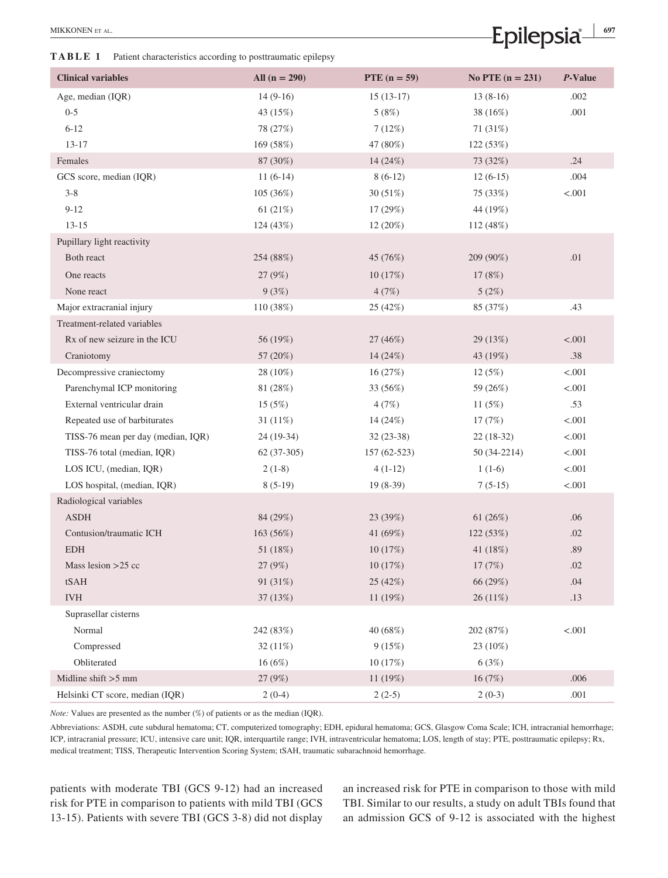**TABLE 1** Patient characteristics according to posttraumatic epilepsy

| <b>Clinical variables</b>          | All $(n = 290)$ | PTE $(n = 59)$ | No PTE $(n = 231)$ | P-Value |
|------------------------------------|-----------------|----------------|--------------------|---------|
| Age, median (IQR)                  | $14(9-16)$      | $15(13-17)$    | $13(8-16)$         | .002    |
| $0 - 5$                            | 43 (15%)        | 5(8%)          | 38 (16%)           | .001    |
| $6 - 12$                           | 78 (27%)        | 7(12%)         | 71 (31%)           |         |
| $13 - 17$                          | 169 (58%)       | 47 (80%)       | 122 (53%)          |         |
| Females                            | 87 (30%)        | 14 (24%)       | 73 (32%)           | .24     |
| GCS score, median (IQR)            | $11(6-14)$      | $8(6-12)$      | $12(6-15)$         | .004    |
| $3 - 8$                            | 105 (36%)       | 30 (51%)       | 75 (33%)           | < .001  |
| $9 - 12$                           | 61 $(21%)$      | 17 (29%)       | 44 (19%)           |         |
| $13 - 15$                          | 124 (43%)       | 12 (20%)       | 112 (48%)          |         |
| Pupillary light reactivity         |                 |                |                    |         |
| Both react                         | 254 (88%)       | 45 (76%)       | 209 (90%)          | .01     |
| One reacts                         | 27 (9%)         | 10(17%)        | 17(8%)             |         |
| None react                         | 9(3%)           | 4(7%)          | 5(2%)              |         |
| Major extracranial injury          | 110 (38%)       | 25 (42%)       | 85 (37%)           | .43     |
| Treatment-related variables        |                 |                |                    |         |
| Rx of new seizure in the ICU       | 56 (19%)        | 27 (46%)       | 29 (13%)           | < .001  |
| Craniotomy                         | 57 (20%)        | 14 (24%)       | 43 (19%)           | .38     |
| Decompressive craniectomy          | 28 (10%)        | 16(27%)        | 12(5%)             | < .001  |
| Parenchymal ICP monitoring         | 81 (28%)        | 33 (56%)       | 59 (26%)           | < .001  |
| External ventricular drain         | 15(5%)          | 4(7%)          | 11 $(5%)$          | .53     |
| Repeated use of barbiturates       | 31 $(11%)$      | 14 (24%)       | 17(7%)             | < .001  |
| TISS-76 mean per day (median, IQR) | $24(19-34)$     | $32(23-38)$    | $22(18-32)$        | < .001  |
| TISS-76 total (median, IQR)        | $62(37-305)$    | 157 (62-523)   | 50 (34-2214)       | < .001  |
| LOS ICU, (median, IQR)             | $2(1-8)$        | $4(1-12)$      | $1(1-6)$           | < .001  |
| LOS hospital, (median, IQR)        | $8(5-19)$       | $19(8-39)$     | $7(5-15)$          | < .001  |
| Radiological variables             |                 |                |                    |         |
| <b>ASDH</b>                        | 84 (29%)        | 23 (39%)       | 61 (26%)           | .06     |
| Contusion/traumatic ICH            | 163 (56%)       | 41 (69%)       | 122 (53%)          | .02     |
| <b>EDH</b>                         | 51 (18%)        | 10(17%)        | 41 (18%)           | .89     |
| Mass lesion $>25$ cc               | 27 (9%)         | 10(17%)        | 17 (7%)            | .02     |
| tSAH                               | 91 (31%)        | 25 (42%)       | 66 (29%)           | .04     |
| $\it IVH$                          | 37 (13%)        | 11 (19%)       | $26(11\%)$         | .13     |
| Suprasellar cisterns               |                 |                |                    |         |
| Normal                             | 242 (83%)       | 40 (68%)       | 202 (87%)          | < .001  |
| Compressed                         | $32(11\%)$      | 9(15%)         | 23 (10%)           |         |
| Obliterated                        | 16(6%)          | 10(17%)        | 6(3%)              |         |
| Midline shift $>5$ mm              | 27 (9%)         | 11 (19%)       | 16(7%)             | .006    |
| Helsinki CT score, median (IQR)    | $2(0-4)$        | $2(2-5)$       | $2(0-3)$           | .001    |

*Note:* Values are presented as the number (%) of patients or as the median (IQR).

Abbreviations: ASDH, cute subdural hematoma; CT, computerized tomography; EDH, epidural hematoma; GCS, Glasgow Coma Scale; ICH, intracranial hemorrhage; ICP, intracranial pressure; ICU, intensive care unit; IQR, interquartile range; IVH, intraventricular hematoma; LOS, length of stay; PTE, posttraumatic epilepsy; Rx, medical treatment; TISS, Therapeutic Intervention Scoring System; tSAH, traumatic subarachnoid hemorrhage.

patients with moderate TBI (GCS 9-12) had an increased risk for PTE in comparison to patients with mild TBI (GCS 13-15). Patients with severe TBI (GCS 3-8) did not display an increased risk for PTE in comparison to those with mild TBI. Similar to our results, a study on adult TBIs found that an admission GCS of 9-12 is associated with the highest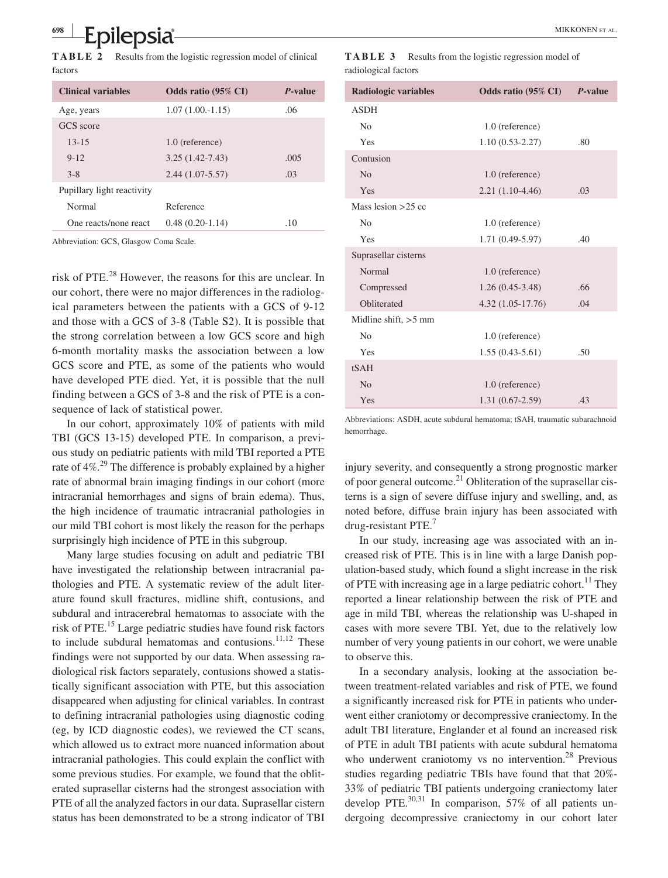**TABLE 2** Results from the logistic regression model of clinical factors

| <b>Clinical variables</b>  | Odds ratio (95% CI) | P-value |
|----------------------------|---------------------|---------|
| Age, years                 | $1.07(1.00 - 1.15)$ | .06     |
| GCS score                  |                     |         |
| $13 - 15$                  | 1.0 (reference)     |         |
| $9 - 12$                   | $3.25(1.42 - 7.43)$ | .005    |
| $3 - 8$                    | $2.44(1.07-5.57)$   | .03     |
| Pupillary light reactivity |                     |         |
| Normal                     | Reference           |         |
| One reacts/none react      | $0.48(0.20-1.14)$   | .10     |

Abbreviation: GCS, Glasgow Coma Scale.

risk of PTE.28 However, the reasons for this are unclear. In our cohort, there were no major differences in the radiological parameters between the patients with a GCS of 9-12 and those with a GCS of 3-8 (Table S2). It is possible that the strong correlation between a low GCS score and high 6-month mortality masks the association between a low GCS score and PTE, as some of the patients who would have developed PTE died. Yet, it is possible that the null finding between a GCS of 3-8 and the risk of PTE is a consequence of lack of statistical power.

In our cohort, approximately 10% of patients with mild TBI (GCS 13-15) developed PTE. In comparison, a previous study on pediatric patients with mild TBI reported a PTE rate of 4%.<sup>29</sup> The difference is probably explained by a higher rate of abnormal brain imaging findings in our cohort (more intracranial hemorrhages and signs of brain edema). Thus, the high incidence of traumatic intracranial pathologies in our mild TBI cohort is most likely the reason for the perhaps surprisingly high incidence of PTE in this subgroup.

Many large studies focusing on adult and pediatric TBI have investigated the relationship between intracranial pathologies and PTE. A systematic review of the adult literature found skull fractures, midline shift, contusions, and subdural and intracerebral hematomas to associate with the risk of PTE.15 Large pediatric studies have found risk factors to include subdural hematomas and contusions. $11,12$  These findings were not supported by our data. When assessing radiological risk factors separately, contusions showed a statistically significant association with PTE, but this association disappeared when adjusting for clinical variables. In contrast to defining intracranial pathologies using diagnostic coding (eg, by ICD diagnostic codes), we reviewed the CT scans, which allowed us to extract more nuanced information about intracranial pathologies. This could explain the conflict with some previous studies. For example, we found that the obliterated suprasellar cisterns had the strongest association with PTE of all the analyzed factors in our data. Suprasellar cistern status has been demonstrated to be a strong indicator of TBI

| TABLE 3              | Results from the logistic regression model of |  |
|----------------------|-----------------------------------------------|--|
| radiological factors |                                               |  |

| <b>Radiologic variables</b> | <b>Odds ratio (95% CI)</b> | P-value |
|-----------------------------|----------------------------|---------|
| <b>ASDH</b>                 |                            |         |
| N <sub>0</sub>              | 1.0 (reference)            |         |
| Yes                         | $1.10(0.53 - 2.27)$        | .80     |
| Contusion                   |                            |         |
| No                          | 1.0 (reference)            |         |
| Yes                         | $2.21(1.10-4.46)$          | .03     |
| Mass lesion $>25$ cc        |                            |         |
| N <sub>0</sub>              | 1.0 (reference)            |         |
| Yes                         | 1.71 (0.49-5.97)           | .40     |
| Suprasellar cisterns        |                            |         |
| Normal                      | $1.0$ (reference)          |         |
| Compressed                  | $1.26(0.45-3.48)$          | .66     |
| Obliterated                 | $4.32(1.05-17.76)$         | .04     |
| Midline shift, $>5$ mm      |                            |         |
| No                          | 1.0 (reference)            |         |
| Yes                         | $1.55(0.43-5.61)$          | .50     |
| tSAH                        |                            |         |
| No                          | 1.0 (reference)            |         |
| Yes                         | $1.31(0.67 - 2.59)$        | .43     |

Abbreviations: ASDH, acute subdural hematoma; tSAH, traumatic subarachnoid hemorrhage.

injury severity, and consequently a strong prognostic marker of poor general outcome.<sup>21</sup> Obliteration of the suprasellar cisterns is a sign of severe diffuse injury and swelling, and, as noted before, diffuse brain injury has been associated with drug-resistant PTE.<sup>7</sup>

In our study, increasing age was associated with an increased risk of PTE. This is in line with a large Danish population-based study, which found a slight increase in the risk of PTE with increasing age in a large pediatric cohort.<sup>11</sup> They reported a linear relationship between the risk of PTE and age in mild TBI, whereas the relationship was U-shaped in cases with more severe TBI. Yet, due to the relatively low number of very young patients in our cohort, we were unable to observe this.

In a secondary analysis, looking at the association between treatment-related variables and risk of PTE, we found a significantly increased risk for PTE in patients who underwent either craniotomy or decompressive craniectomy. In the adult TBI literature, Englander et al found an increased risk of PTE in adult TBI patients with acute subdural hematoma who underwent craniotomy vs no intervention.<sup>28</sup> Previous studies regarding pediatric TBIs have found that that 20%- 33% of pediatric TBI patients undergoing craniectomy later develop PTE. $^{30,31}$  In comparison, 57% of all patients undergoing decompressive craniectomy in our cohort later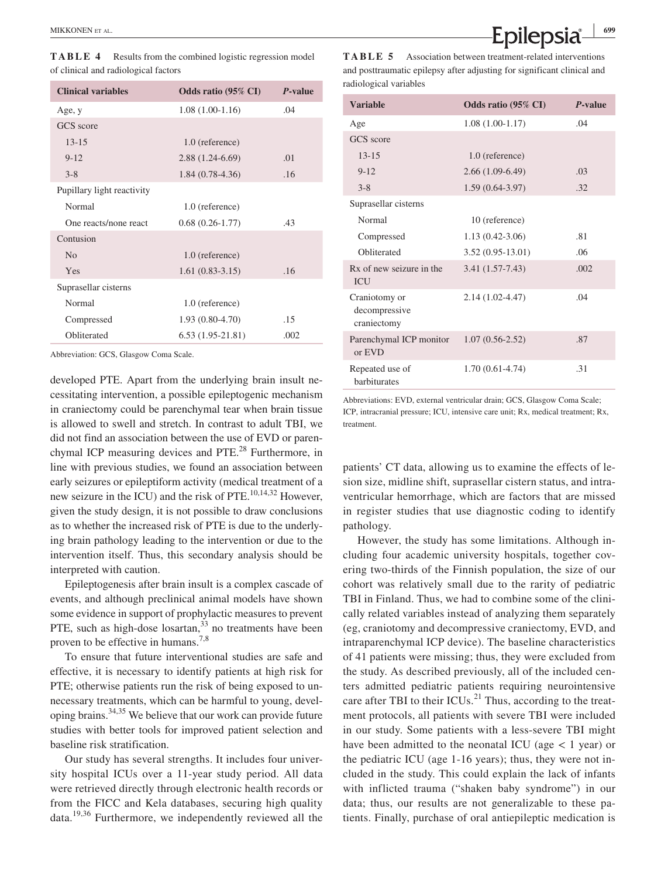**TABLE 4** Results from the combined logistic regression model of clinical and radiological factors

| <b>Clinical variables</b>  | <b>Odds ratio (95% CI)</b> | P-value |
|----------------------------|----------------------------|---------|
| Age, y                     | $1.08(1.00-1.16)$          | .04     |
| GCS score                  |                            |         |
| $13 - 15$                  | 1.0 (reference)            |         |
| $9 - 12$                   | $2.88(1.24-6.69)$          | .01     |
| $3 - 8$                    | $1.84(0.78-4.36)$          | .16     |
| Pupillary light reactivity |                            |         |
| Normal                     | 1.0 (reference)            |         |
| One reacts/none react      | $0.68(0.26-1.77)$          | .43     |
| Contusion                  |                            |         |
| N <sub>0</sub>             | 1.0 (reference)            |         |
| Yes                        | $1.61(0.83-3.15)$          | .16     |
| Suprasellar cisterns       |                            |         |
| Normal                     | 1.0 (reference)            |         |
| Compressed                 | $1.93(0.80-4.70)$          | .15     |
| Obliterated                | $6.53(1.95-21.81)$         | .002    |

Abbreviation: GCS, Glasgow Coma Scale.

developed PTE. Apart from the underlying brain insult necessitating intervention, a possible epileptogenic mechanism in craniectomy could be parenchymal tear when brain tissue is allowed to swell and stretch. In contrast to adult TBI, we did not find an association between the use of EVD or parenchymal ICP measuring devices and PTE.<sup>28</sup> Furthermore, in line with previous studies, we found an association between early seizures or epileptiform activity (medical treatment of a new seizure in the ICU) and the risk of PTE. $^{10,14,32}$  However, given the study design, it is not possible to draw conclusions as to whether the increased risk of PTE is due to the underlying brain pathology leading to the intervention or due to the intervention itself. Thus, this secondary analysis should be interpreted with caution.

Epileptogenesis after brain insult is a complex cascade of events, and although preclinical animal models have shown some evidence in support of prophylactic measures to prevent PTE, such as high-dose losartan,<sup>33</sup> no treatments have been proven to be effective in humans.<sup>7,8</sup>

To ensure that future interventional studies are safe and effective, it is necessary to identify patients at high risk for PTE; otherwise patients run the risk of being exposed to unnecessary treatments, which can be harmful to young, developing brains.34,35 We believe that our work can provide future studies with better tools for improved patient selection and baseline risk stratification.

Our study has several strengths. It includes four university hospital ICUs over a 11-year study period. All data were retrieved directly through electronic health records or from the FICC and Kela databases, securing high quality data.19,36 Furthermore, we independently reviewed all the

**MIKKONEN ET AL.** *CONCERCITAL COP* 

**TABLE 5** Association between treatment-related interventions and posttraumatic epilepsy after adjusting for significant clinical and radiological variables

| <b>Variable</b>                               | Odds ratio (95% CI) | P-value |
|-----------------------------------------------|---------------------|---------|
| Age                                           | $1.08(1.00-1.17)$   | .04     |
| GCS score                                     |                     |         |
| $13 - 15$                                     | 1.0 (reference)     |         |
| $9 - 12$                                      | $2.66(1.09-6.49)$   | .03     |
| $3 - 8$                                       | $1.59(0.64-3.97)$   | .32     |
| Suprasellar cisterns                          |                     |         |
| Normal                                        | 10 (reference)      |         |
| Compressed                                    | $1.13(0.42-3.06)$   | .81     |
| Obliterated                                   | $3.52(0.95-13.01)$  | .06     |
| Rx of new seizure in the<br><b>ICU</b>        | $3.41(1.57-7.43)$   | .002    |
| Craniotomy or<br>decompressive<br>craniectomy | $2.14(1.02 - 4.47)$ | .04     |
| Parenchymal ICP monitor<br>or EVD             | $1.07(0.56 - 2.52)$ | .87     |
| Repeated use of<br><b>barbiturates</b>        | $1.70(0.61-4.74)$   | .31     |

Abbreviations: EVD, external ventricular drain; GCS, Glasgow Coma Scale; ICP, intracranial pressure; ICU, intensive care unit; Rx, medical treatment; Rx, treatment.

patients' CT data, allowing us to examine the effects of lesion size, midline shift, suprasellar cistern status, and intraventricular hemorrhage, which are factors that are missed in register studies that use diagnostic coding to identify pathology.

However, the study has some limitations. Although including four academic university hospitals, together covering two-thirds of the Finnish population, the size of our cohort was relatively small due to the rarity of pediatric TBI in Finland. Thus, we had to combine some of the clinically related variables instead of analyzing them separately (eg, craniotomy and decompressive craniectomy, EVD, and intraparenchymal ICP device). The baseline characteristics of 41 patients were missing; thus, they were excluded from the study. As described previously, all of the included centers admitted pediatric patients requiring neurointensive care after TBI to their  $ICUs.<sup>21</sup>$  Thus, according to the treatment protocols, all patients with severe TBI were included in our study. Some patients with a less-severe TBI might have been admitted to the neonatal ICU (age  $\lt$  1 year) or the pediatric ICU (age 1-16 years); thus, they were not included in the study. This could explain the lack of infants with inflicted trauma ("shaken baby syndrome") in our data; thus, our results are not generalizable to these patients. Finally, purchase of oral antiepileptic medication is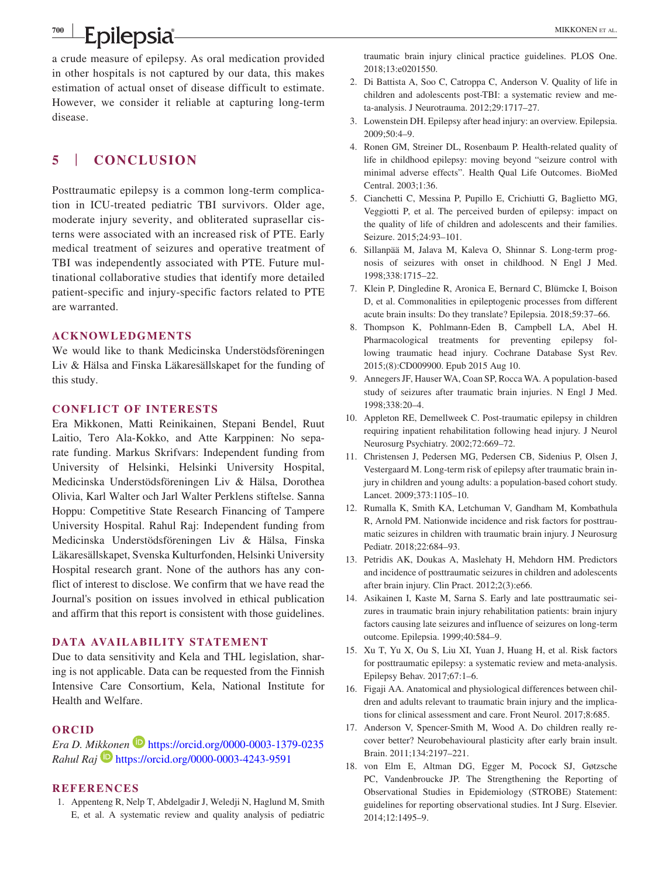**Epilepsia** MIKKONEN ET AL.

**<sup>700</sup> <sup>|</sup>**

a crude measure of epilepsy. As oral medication provided in other hospitals is not captured by our data, this makes estimation of actual onset of disease difficult to estimate. However, we consider it reliable at capturing long-term disease.

# **5** | **CONCLUSION**

Posttraumatic epilepsy is a common long-term complication in ICU-treated pediatric TBI survivors. Older age, moderate injury severity, and obliterated suprasellar cisterns were associated with an increased risk of PTE. Early medical treatment of seizures and operative treatment of TBI was independently associated with PTE. Future multinational collaborative studies that identify more detailed patient-specific and injury-specific factors related to PTE are warranted.

#### **ACKNOWLEDGMENTS**

We would like to thank Medicinska Understödsföreningen Liv & Hälsa and Finska Läkaresällskapet for the funding of this study.

#### **CONFLICT OF INTERESTS**

Era Mikkonen, Matti Reinikainen, Stepani Bendel, Ruut Laitio, Tero Ala-Kokko, and Atte Karppinen: No separate funding. Markus Skrifvars: Independent funding from University of Helsinki, Helsinki University Hospital, Medicinska Understödsföreningen Liv & Hälsa, Dorothea Olivia, Karl Walter och Jarl Walter Perklens stiftelse. Sanna Hoppu: Competitive State Research Financing of Tampere University Hospital. Rahul Raj: Independent funding from Medicinska Understödsföreningen Liv & Hälsa, Finska Läkaresällskapet, Svenska Kulturfonden, Helsinki University Hospital research grant. None of the authors has any conflict of interest to disclose. We confirm that we have read the Journal's position on issues involved in ethical publication and affirm that this report is consistent with those guidelines.

#### **DATA AVAILABILITY STATEMENT**

Due to data sensitivity and Kela and THL legislation, sharing is not applicable. Data can be requested from the Finnish Intensive Care Consortium, Kela, National Institute for Health and Welfare.

#### **ORCID**

# *Era D. M[ikkon](https://orcid.org/0000-0003-4243-9591)en* <https://orcid.org/0000-0003-1379-0235> *Rahul Raj* <https://orcid.org/0000-0003-4243-9591>

#### **REFERENCES**

1. Appenteng R, Nelp T, Abdelgadir J, Weledji N, Haglund M, Smith E, et al. A systematic review and quality analysis of pediatric traumatic brain injury clinical practice guidelines. PLOS One. 2018;13:e0201550.

- 2. Di Battista A, Soo C, Catroppa C, Anderson V. Quality of life in children and adolescents post-TBI: a systematic review and meta-analysis. J Neurotrauma. 2012;29:1717–27.
- 3. Lowenstein DH. Epilepsy after head injury: an overview. Epilepsia. 2009;50:4–9.
- 4. Ronen GM, Streiner DL, Rosenbaum P. Health-related quality of life in childhood epilepsy: moving beyond "seizure control with minimal adverse effects". Health Qual Life Outcomes. BioMed Central. 2003;1:36.
- 5. Cianchetti C, Messina P, Pupillo E, Crichiutti G, Baglietto MG, Veggiotti P, et al. The perceived burden of epilepsy: impact on the quality of life of children and adolescents and their families. Seizure. 2015;24:93–101.
- 6. Sillanpää M, Jalava M, Kaleva O, Shinnar S. Long-term prognosis of seizures with onset in childhood. N Engl J Med. 1998;338:1715–22.
- 7. Klein P, Dingledine R, Aronica E, Bernard C, Blümcke I, Boison D, et al. Commonalities in epileptogenic processes from different acute brain insults: Do they translate? Epilepsia. 2018;59:37–66.
- 8. Thompson K, Pohlmann-Eden B, Campbell LA, Abel H. Pharmacological treatments for preventing epilepsy following traumatic head injury. Cochrane Database Syst Rev. 2015;(8):CD009900. Epub 2015 Aug 10.
- 9. Annegers JF, Hauser WA, Coan SP, Rocca WA. A population-based study of seizures after traumatic brain injuries. N Engl J Med. 1998;338:20–4.
- 10. Appleton RE, Demellweek C. Post-traumatic epilepsy in children requiring inpatient rehabilitation following head injury. J Neurol Neurosurg Psychiatry. 2002;72:669–72.
- 11. Christensen J, Pedersen MG, Pedersen CB, Sidenius P, Olsen J, Vestergaard M. Long-term risk of epilepsy after traumatic brain injury in children and young adults: a population-based cohort study. Lancet. 2009;373:1105–10.
- 12. Rumalla K, Smith KA, Letchuman V, Gandham M, Kombathula R, Arnold PM. Nationwide incidence and risk factors for posttraumatic seizures in children with traumatic brain injury. J Neurosurg Pediatr. 2018;22:684–93.
- 13. Petridis AK, Doukas A, Maslehaty H, Mehdorn HM. Predictors and incidence of posttraumatic seizures in children and adolescents after brain injury. Clin Pract. 2012;2(3):e66.
- 14. Asikainen I, Kaste M, Sarna S. Early and late posttraumatic seizures in traumatic brain injury rehabilitation patients: brain injury factors causing late seizures and influence of seizures on long-term outcome. Epilepsia. 1999;40:584–9.
- 15. Xu T, Yu X, Ou S, Liu XI, Yuan J, Huang H, et al. Risk factors for posttraumatic epilepsy: a systematic review and meta-analysis. Epilepsy Behav. 2017;67:1–6.
- 16. Figaji AA. Anatomical and physiological differences between children and adults relevant to traumatic brain injury and the implications for clinical assessment and care. Front Neurol. 2017;8:685.
- 17. Anderson V, Spencer-Smith M, Wood A. Do children really recover better? Neurobehavioural plasticity after early brain insult. Brain. 2011;134:2197–221.
- 18. von Elm E, Altman DG, Egger M, Pocock SJ, Gøtzsche PC, Vandenbroucke JP. The Strengthening the Reporting of Observational Studies in Epidemiology (STROBE) Statement: guidelines for reporting observational studies. Int J Surg. Elsevier. 2014;12:1495–9.